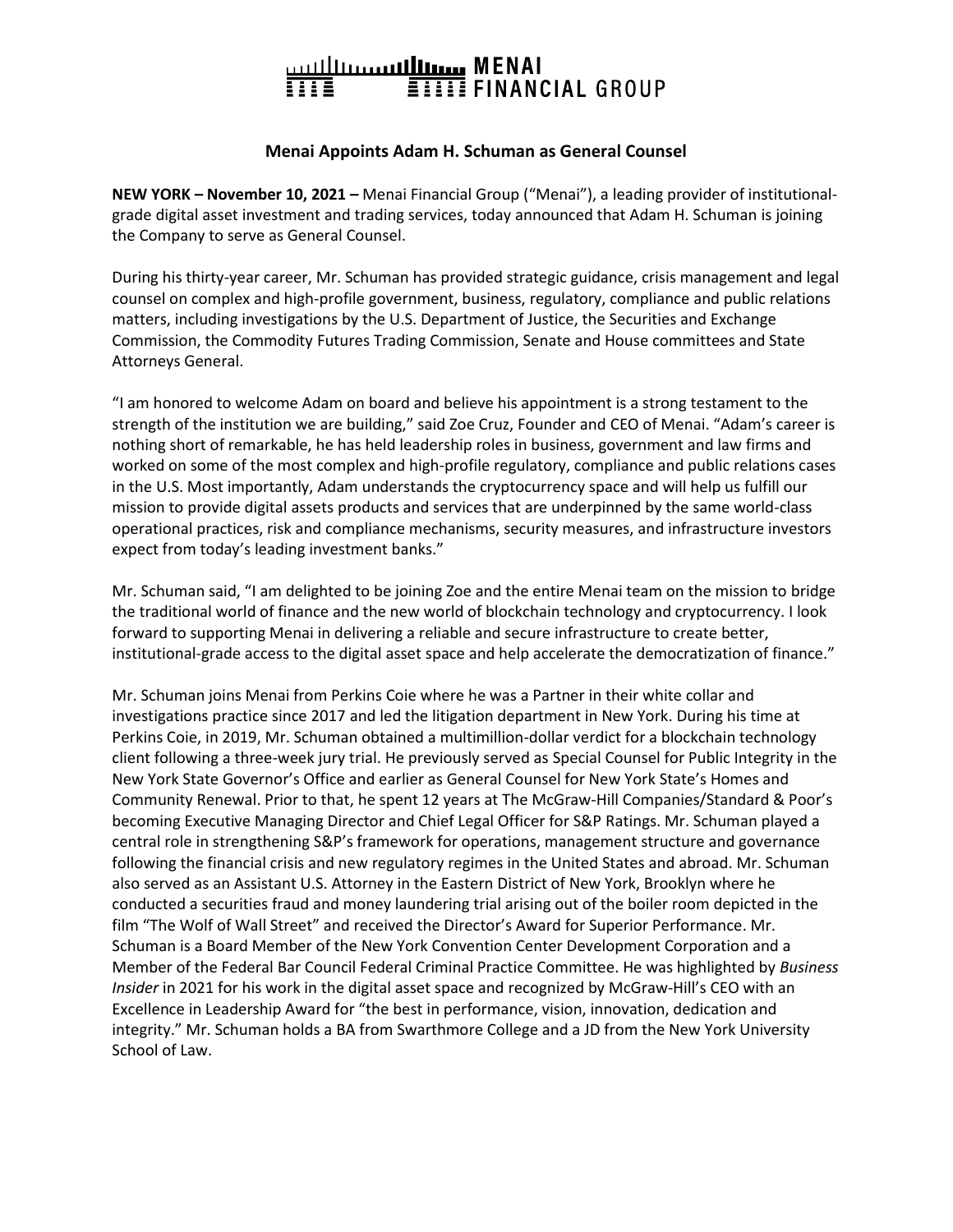## 

## **Menai Appoints Adam H. Schuman as General Counsel**

**NEW YORK – November 10, 2021 –** Menai Financial Group ("Menai"), a leading provider of institutionalgrade digital asset investment and trading services, today announced that Adam H. Schuman is joining the Company to serve as General Counsel.

During his thirty-year career, Mr. Schuman has provided strategic guidance, crisis management and legal counsel on complex and high-profile government, business, regulatory, compliance and public relations matters, including investigations by the U.S. Department of Justice, the Securities and Exchange Commission, the Commodity Futures Trading Commission, Senate and House committees and State Attorneys General.

"I am honored to welcome Adam on board and believe his appointment is a strong testament to the strength of the institution we are building," said Zoe Cruz, Founder and CEO of Menai. "Adam's career is nothing short of remarkable, he has held leadership roles in business, government and law firms and worked on some of the most complex and high-profile regulatory, compliance and public relations cases in the U.S. Most importantly, Adam understands the cryptocurrency space and will help us fulfill our mission to provide digital assets products and services that are underpinned by the same world-class operational practices, risk and compliance mechanisms, security measures, and infrastructure investors expect from today's leading investment banks."

Mr. Schuman said, "I am delighted to be joining Zoe and the entire Menai team on the mission to bridge the traditional world of finance and the new world of blockchain technology and cryptocurrency. I look forward to supporting Menai in delivering a reliable and secure infrastructure to create better, institutional-grade access to the digital asset space and help accelerate the democratization of finance."

Mr. Schuman joins Menai from Perkins Coie where he was a Partner in their white collar and investigations practice since 2017 and led the litigation department in New York. During his time at Perkins Coie, in 2019, Mr. Schuman obtained a multimillion-dollar verdict for a blockchain technology client following a three-week jury trial. He previously served as Special Counsel for Public Integrity in the New York State Governor's Office and earlier as General Counsel for New York State's Homes and Community Renewal. Prior to that, he spent 12 years at The McGraw-Hill Companies/Standard & Poor's becoming Executive Managing Director and Chief Legal Officer for S&P Ratings. Mr. Schuman played a central role in strengthening S&P's framework for operations, management structure and governance following the financial crisis and new regulatory regimes in the United States and abroad. Mr. Schuman also served as an Assistant U.S. Attorney in the Eastern District of New York, Brooklyn where he conducted a securities fraud and money laundering trial arising out of the boiler room depicted in the film "The Wolf of Wall Street" and received the Director's Award for Superior Performance. Mr. Schuman is a Board Member of the New York Convention Center Development Corporation and a Member of the Federal Bar Council Federal Criminal Practice Committee. He was highlighted by *Business Insider* in 2021 for his work in the digital asset space and recognized by McGraw-Hill's CEO with an Excellence in Leadership Award for "the best in performance, vision, innovation, dedication and integrity." Mr. Schuman holds a BA from Swarthmore College and a JD from the New York University School of Law.